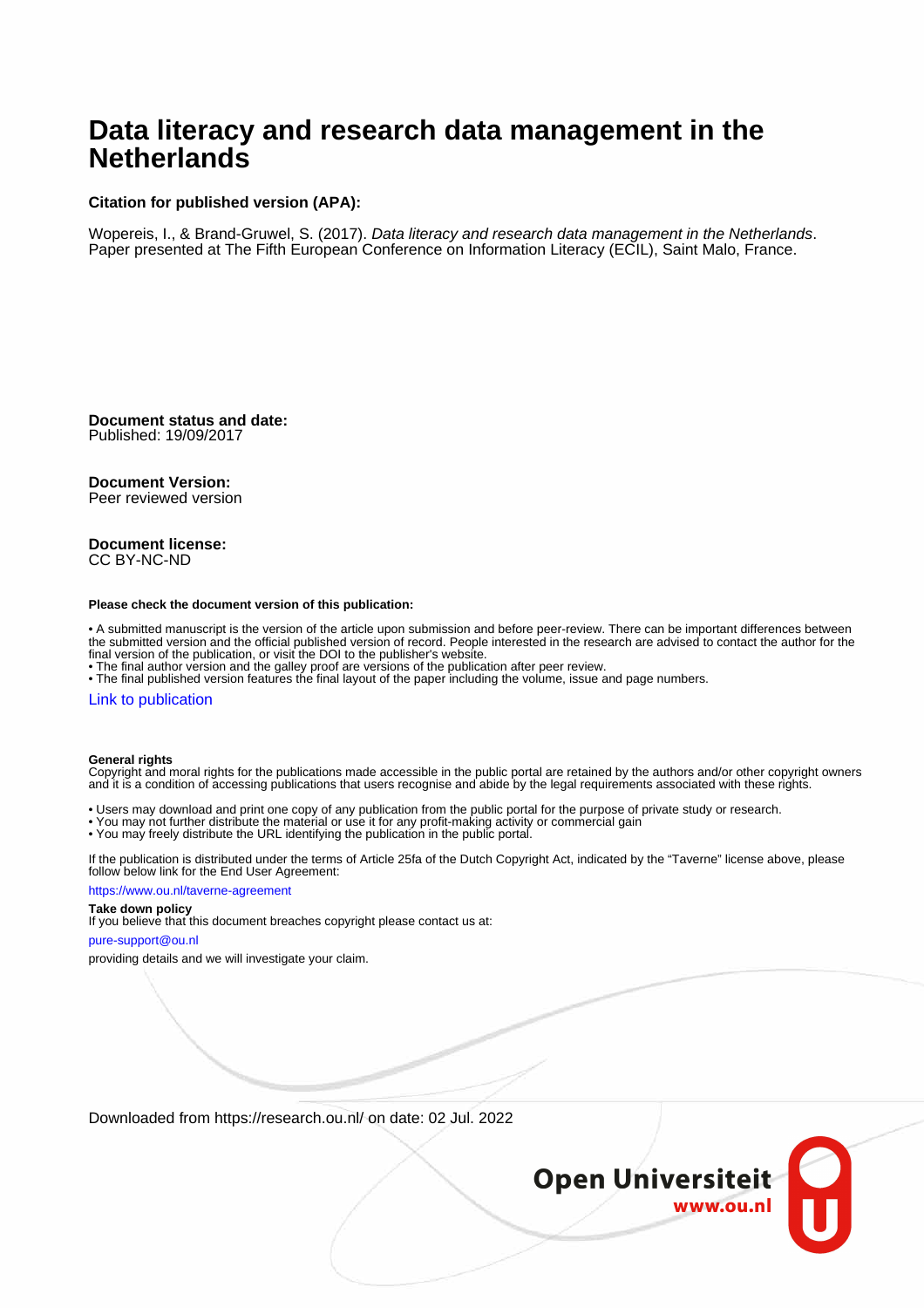# **Data literacy and research data management in the Netherlands**

### **Citation for published version (APA):**

Wopereis, I., & Brand-Gruwel, S. (2017). Data literacy and research data management in the Netherlands. Paper presented at The Fifth European Conference on Information Literacy (ECIL), Saint Malo, France.

**Document status and date:** Published: 19/09/2017

#### **Document Version:**

Peer reviewed version

#### **Document license:** CC BY-NC-ND

#### **Please check the document version of this publication:**

• A submitted manuscript is the version of the article upon submission and before peer-review. There can be important differences between the submitted version and the official published version of record. People interested in the research are advised to contact the author for the final version of the publication, or visit the DOI to the publisher's website.

• The final author version and the galley proof are versions of the publication after peer review.

• The final published version features the final layout of the paper including the volume, issue and page numbers.

#### [Link to publication](https://research.ou.nl/en/publications/33134406-b387-42fb-9c35-40a56125c7cd)

#### **General rights**

Copyright and moral rights for the publications made accessible in the public portal are retained by the authors and/or other copyright owners and it is a condition of accessing publications that users recognise and abide by the legal requirements associated with these rights.

- Users may download and print one copy of any publication from the public portal for the purpose of private study or research.
- You may not further distribute the material or use it for any profit-making activity or commercial gain
- You may freely distribute the URL identifying the publication in the public portal.

If the publication is distributed under the terms of Article 25fa of the Dutch Copyright Act, indicated by the "Taverne" license above, please follow below link for the End User Agreement:

#### https://www.ou.nl/taverne-agreement

### **Take down policy**

If you believe that this document breaches copyright please contact us at:

#### pure-support@ou.nl

providing details and we will investigate your claim.

Downloaded from https://research.ou.nl/ on date: 02 Jul. 2022